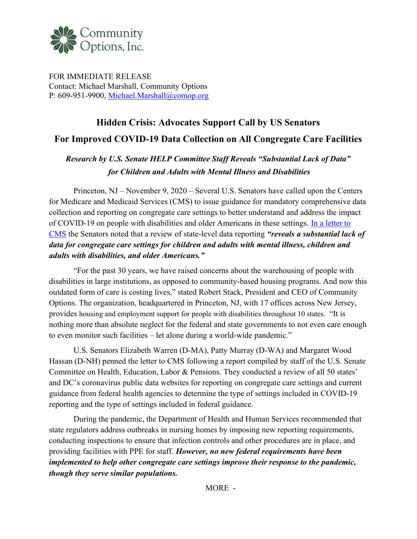

FOR IMMEDIATE RELEASE Contact: Michael Marshall, Community Options P: 609-951-9900, Michael.Marshall@comop.org

## Hidden Crisis: Advocates Support Call by US Senators For Improved COVID-19 Data Collection on All Congregate Care Facilities

## Research by U.S. Senate HELP Committee Staff Reveals "Substantial Lack of Data" for Children and Adults with Mental Illness and Disabilities

Princeton, NJ – November 9, 2020 – Several U.S. Senators have called upon the Centers for Medicare and Medicaid Services (CMS) to issue guidance for mandatory comprehensive data collection and reporting on congregate care settings to better understand and address the impact of COVID-19 on people with disabilities and older Americans in these settings. In a letter to CMS the Senators noted that a review of state-level data reporting "reveals a substantial lack of data for congregate care settings for children and adults with mental illness, children and adults with disabilities, and older Americans."

 "For the past 30 years, we have raised concerns about the warehousing of people with disabilities in large institutions, as opposed to community-based housing programs. And now this outdated form of care is costing lives," stated Robert Stack, President and CEO of Community Options. The organization, headquartered in Princeton, NJ, with 17 offices across New Jersey, provides housing and employment support for people with disabilities throughout 10 states. "It is nothing more than absolute neglect for the federal and state governments to not even care enough to even monitor such facilities – let alone during a world-wide pandemic."

U.S. Senators Elizabeth Warren (D-MA), Patty Murray (D-WA) and Margaret Wood Hassan (D-NH) penned the letter to CMS following a report compiled by staff of the U.S. Senate Committee on Health, Education, Labor & Pensions. They conducted a review of all 50 states' and DC's coronavirus public data websites for reporting on congregate care settings and current guidance from federal health agencies to determine the type of settings included in COVID-19 reporting and the type of settings included in federal guidance.

During the pandemic, the Department of Health and Human Services recommended that state regulators address outbreaks in nursing homes by imposing new reporting requirements, conducting inspections to ensure that infection controls and other procedures are in place, and providing facilities with PPE for staff. However, no new federal requirements have been implemented to help other congregate care settings improve their response to the pandemic, though they serve similar populations.